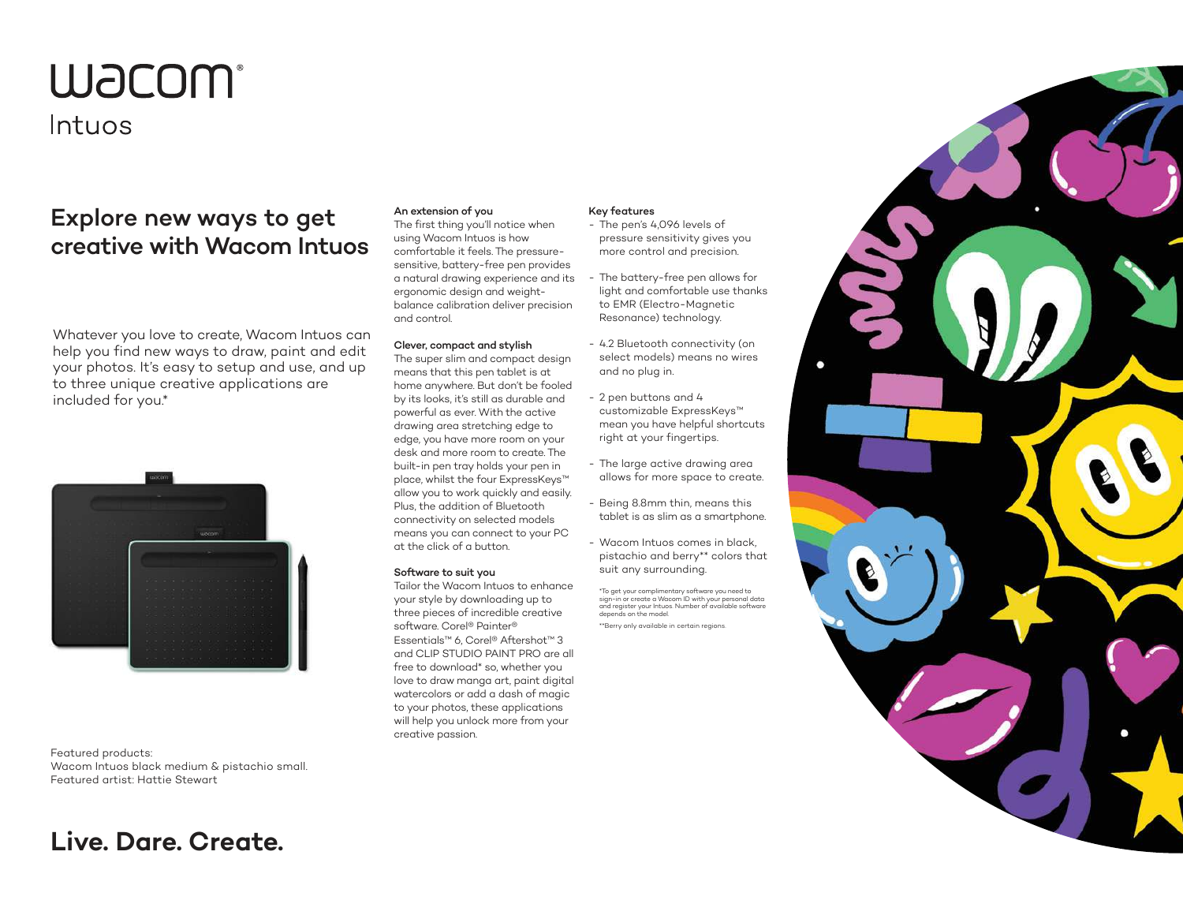# **W**JCOM®

### Intuos

## Explore new ways to get creative with Wacom Intuos

Whatever you love to create, Wacom Intuos can help you find new ways to draw, paint and edit your photos. It's easy to setup and use, and up to three unique creative applications are included for you.\*



Featured products: Wacom Intuos black medium & pistachio small. Featured artist: Hattie Stewart

## **Live. Dare. Create.**

#### An extension of you

The first thing you'll notice when using Wacom Intuos is how comfortable it feels. The pressuresensitive, battery-free pen provides a natural drawing experience and its ergonomic design and weightbalance calibration deliver precision and control.

#### Clever, compact and stylish

The super slim and compact design means that this pen tablet is at home anywhere. But don't be fooled by its looks, it's still as durable and powerful as ever. With the active drawing area stretching edge to edge, you have more room on your desk and more room to create. The built-in pen tray holds your pen in place, whilst the four ExpressKeys™ allow you to work quickly and easily. Plus, the addition of Bluetooth connectivity on selected models means you can connect to your PC at the click of a button.

#### Software to suit you

Tailor the Wacom Intuos to enhance your style by downloading up to three pieces of incredible creative software. Corel® Painter® Essentials™ 6, Corel® Aftershot™ 3 and CLIP STUDIO PAINT PRO are all free to download\* so, whether you love to draw manga art, paint digital watercolors or add a dash of magic to your photos, these applications will help you unlock more from your creative passion.

#### Key features

- The pen's 4,096 levels of pressure sensitivity gives you more control and precision.
- The battery-free pen allows for light and comfortable use thanks to EMR (Electro-Magnetic Resonance) technology.
- 4.2 Bluetooth connectivity (on select models) means no wires and no plug in.
- 2 pen buttons and 4 customizable ExpressKeys™ mean you have helpful shortcuts right at your fingertips.
- The large active drawing area allows for more space to create.
- Being 8.8mm thin, means this tablet is as slim as a smartphone.
- Wacom Intuos comes in black, pistachio and berry\*\* colors that suit any surrounding.

\*To get your complimentary software you need to sign-in or create a Wacom ID with your personal data and register your Intuos. Number of available software depends on the model. \*\*Berry only available in certain regions.